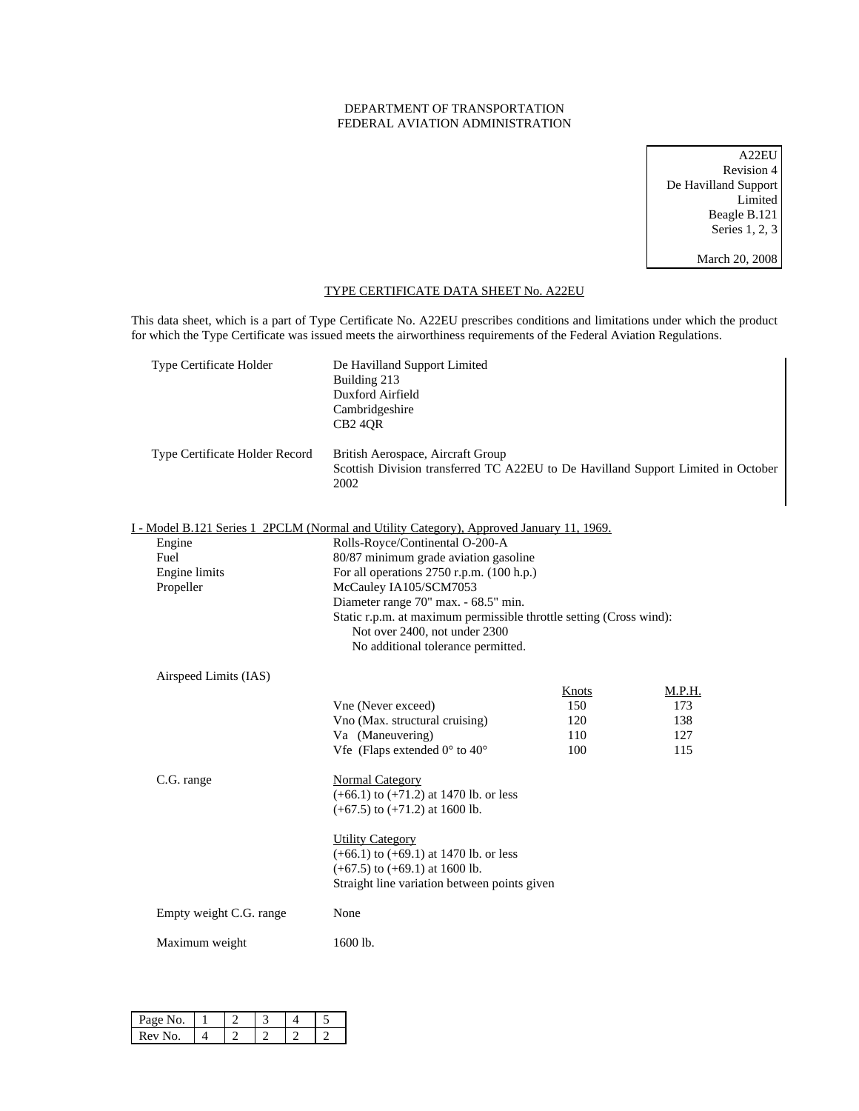## DEPARTMENT OF TRANSPORTATION FEDERAL AVIATION ADMINISTRATION

A22EU Revision 4 De Havilland Support Limited Beagle B.121 Series 1, 2, 3 March 20, 2008

## TYPE CERTIFICATE DATA SHEET No. A22EU

This data sheet, which is a part of Type Certificate No. A22EU prescribes conditions and limitations under which the product for which the Type Certificate was issued meets the airworthiness requirements of the Federal Aviation Regulations.

| Type Certificate Holder        | De Havilland Support Limited<br>Building 213<br>Duxford Airfield<br>Cambridgeshire<br>CB <sub>2</sub> 4QR                      |       |        |
|--------------------------------|--------------------------------------------------------------------------------------------------------------------------------|-------|--------|
| Type Certificate Holder Record | British Aerospace, Aircraft Group<br>Scottish Division transferred TC A22EU to De Havilland Support Limited in October<br>2002 |       |        |
|                                | I - Model B.121 Series 1 2PCLM (Normal and Utility Category), Approved January 11, 1969.                                       |       |        |
| Engine                         | Rolls-Royce/Continental O-200-A                                                                                                |       |        |
| Fuel                           | 80/87 minimum grade aviation gasoline                                                                                          |       |        |
| Engine limits                  | For all operations 2750 r.p.m. (100 h.p.)                                                                                      |       |        |
| Propeller                      | McCauley IA105/SCM7053                                                                                                         |       |        |
|                                | Diameter range 70" max. - 68.5" min.                                                                                           |       |        |
|                                | Static r.p.m. at maximum permissible throttle setting (Cross wind):                                                            |       |        |
|                                | Not over 2400, not under 2300                                                                                                  |       |        |
|                                | No additional tolerance permitted.                                                                                             |       |        |
| Airspeed Limits (IAS)          |                                                                                                                                |       |        |
|                                |                                                                                                                                | Knots | M.P.H. |
|                                | Vne (Never exceed)                                                                                                             | 150   | 173    |
|                                | Vno (Max. structural cruising)                                                                                                 | 120   | 138    |
|                                | Va (Maneuvering)                                                                                                               | 110   | 127    |
|                                | Vfe (Flaps extended $0^{\circ}$ to $40^{\circ}$                                                                                | 100   | 115    |
|                                |                                                                                                                                |       |        |
| C.G. range                     | <b>Normal Category</b>                                                                                                         |       |        |
|                                | $(+66.1)$ to $(+71.2)$ at 1470 lb. or less                                                                                     |       |        |
|                                | $(+67.5)$ to $(+71.2)$ at 1600 lb.                                                                                             |       |        |
|                                | <b>Utility Category</b>                                                                                                        |       |        |
|                                | $(+66.1)$ to $(+69.1)$ at 1470 lb. or less                                                                                     |       |        |
|                                | $(+67.5)$ to $(+69.1)$ at 1600 lb.                                                                                             |       |        |
|                                | Straight line variation between points given                                                                                   |       |        |
|                                |                                                                                                                                |       |        |
| Empty weight C.G. range        | None                                                                                                                           |       |        |
|                                |                                                                                                                                |       |        |
| Maximum weight                 | 1600 lb.                                                                                                                       |       |        |
|                                |                                                                                                                                |       |        |

| Page No. |  |  |  |
|----------|--|--|--|
| Rev No.  |  |  |  |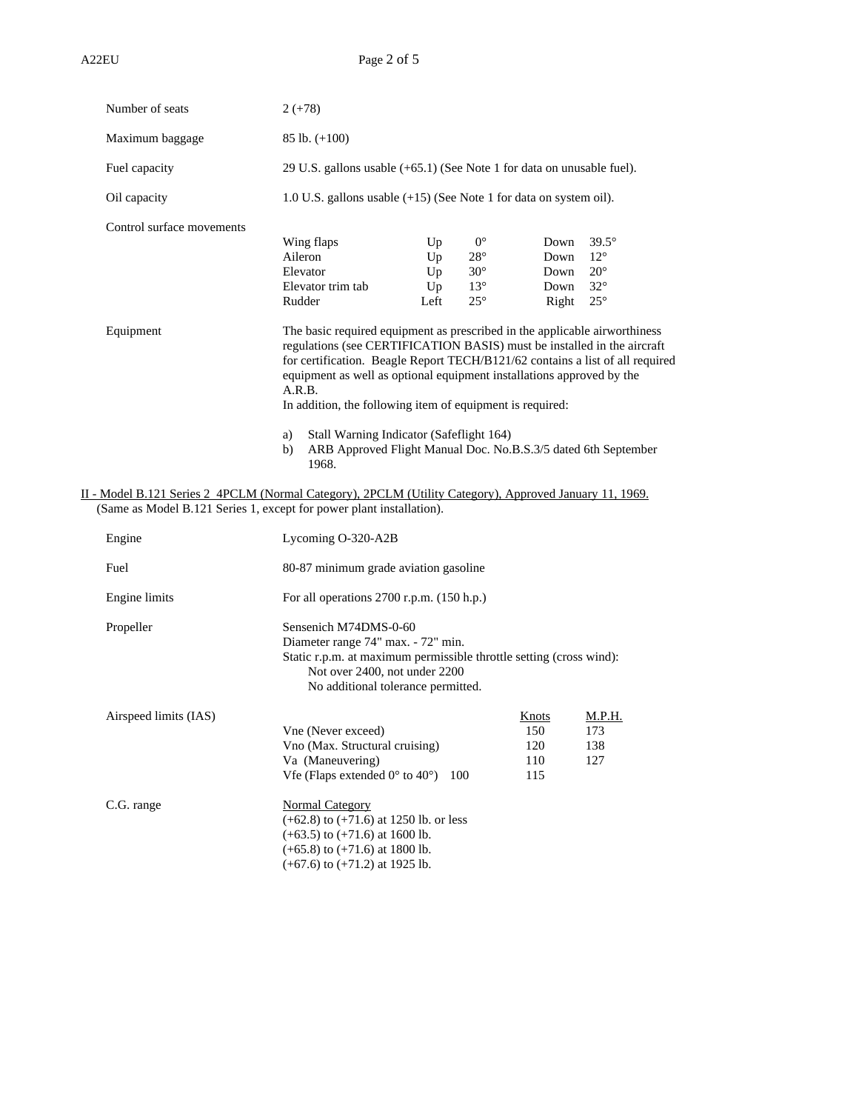| Number of seats                                                                                         | $2 (+78)$                                                                                                                                                                                                                                                                                                                                                                              |                              |                                                                             |                                       |                                                                            |
|---------------------------------------------------------------------------------------------------------|----------------------------------------------------------------------------------------------------------------------------------------------------------------------------------------------------------------------------------------------------------------------------------------------------------------------------------------------------------------------------------------|------------------------------|-----------------------------------------------------------------------------|---------------------------------------|----------------------------------------------------------------------------|
| Maximum baggage                                                                                         | $85$ lb. $(+100)$                                                                                                                                                                                                                                                                                                                                                                      |                              |                                                                             |                                       |                                                                            |
| Fuel capacity                                                                                           | 29 U.S. gallons usable $(+65.1)$ (See Note 1 for data on unusable fuel).                                                                                                                                                                                                                                                                                                               |                              |                                                                             |                                       |                                                                            |
| Oil capacity                                                                                            | 1.0 U.S. gallons usable $(+15)$ (See Note 1 for data on system oil).                                                                                                                                                                                                                                                                                                                   |                              |                                                                             |                                       |                                                                            |
| Control surface movements                                                                               | Wing flaps<br>Aileron<br>Elevator<br>Elevator trim tab<br>Rudder                                                                                                                                                                                                                                                                                                                       | Up<br>Up<br>Up<br>Up<br>Left | $0^{\circ}$<br>$28^{\circ}$<br>$30^{\circ}$<br>$13^{\circ}$<br>$25^{\circ}$ | Down<br>Down<br>Down<br>Down<br>Right | $39.5^\circ$<br>$12^{\circ}$<br>$20^\circ$<br>$32^{\circ}$<br>$25^{\circ}$ |
| Equipment                                                                                               | The basic required equipment as prescribed in the applicable airworthiness<br>regulations (see CERTIFICATION BASIS) must be installed in the aircraft<br>for certification. Beagle Report TECH/B121/62 contains a list of all required<br>equipment as well as optional equipment installations approved by the<br>A.R.B.<br>In addition, the following item of equipment is required: |                              |                                                                             |                                       |                                                                            |
|                                                                                                         | Stall Warning Indicator (Safeflight 164)<br>a)<br>ARB Approved Flight Manual Doc. No.B.S.3/5 dated 6th September<br>b)<br>1968.                                                                                                                                                                                                                                                        |                              |                                                                             |                                       |                                                                            |
| II - Model B.121 Series 2 4PCLM (Normal Category), 2PCLM (Utility Category), Approved January 11, 1969. |                                                                                                                                                                                                                                                                                                                                                                                        |                              |                                                                             |                                       |                                                                            |

(Same as Model B.121 Series 1, except for power plant installation).

| Engine                | Lycoming O-320-A2B                                                                                                                                                                                        |                                   |                             |
|-----------------------|-----------------------------------------------------------------------------------------------------------------------------------------------------------------------------------------------------------|-----------------------------------|-----------------------------|
| Fuel                  | 80-87 minimum grade aviation gasoline                                                                                                                                                                     |                                   |                             |
| Engine limits         | For all operations $2700$ r.p.m. $(150$ h.p.)                                                                                                                                                             |                                   |                             |
| Propeller             | Sensenich M74DMS-0-60<br>Diameter range 74" max. - 72" min.<br>Static r.p.m. at maximum permissible throttle setting (cross wind):<br>Not over 2400, not under 2200<br>No additional tolerance permitted. |                                   |                             |
| Airspeed limits (IAS) | Vne (Never exceed)<br>Vno (Max. Structural cruising)<br>Va (Maneuvering)<br>Vfe (Flaps extended $0^{\circ}$ to $40^{\circ}$ ) 100                                                                         | Knots<br>150<br>120<br>110<br>115 | M.P.H.<br>173<br>138<br>127 |
| C.G. range            | Normal Category<br>$(+62.8)$ to $(+71.6)$ at 1250 lb. or less<br>$(+63.5)$ to $(+71.6)$ at 1600 lb.<br>$(+65.8)$ to $(+71.6)$ at 1800 lb.<br>$(+67.6)$ to $(+71.2)$ at 1925 lb.                           |                                   |                             |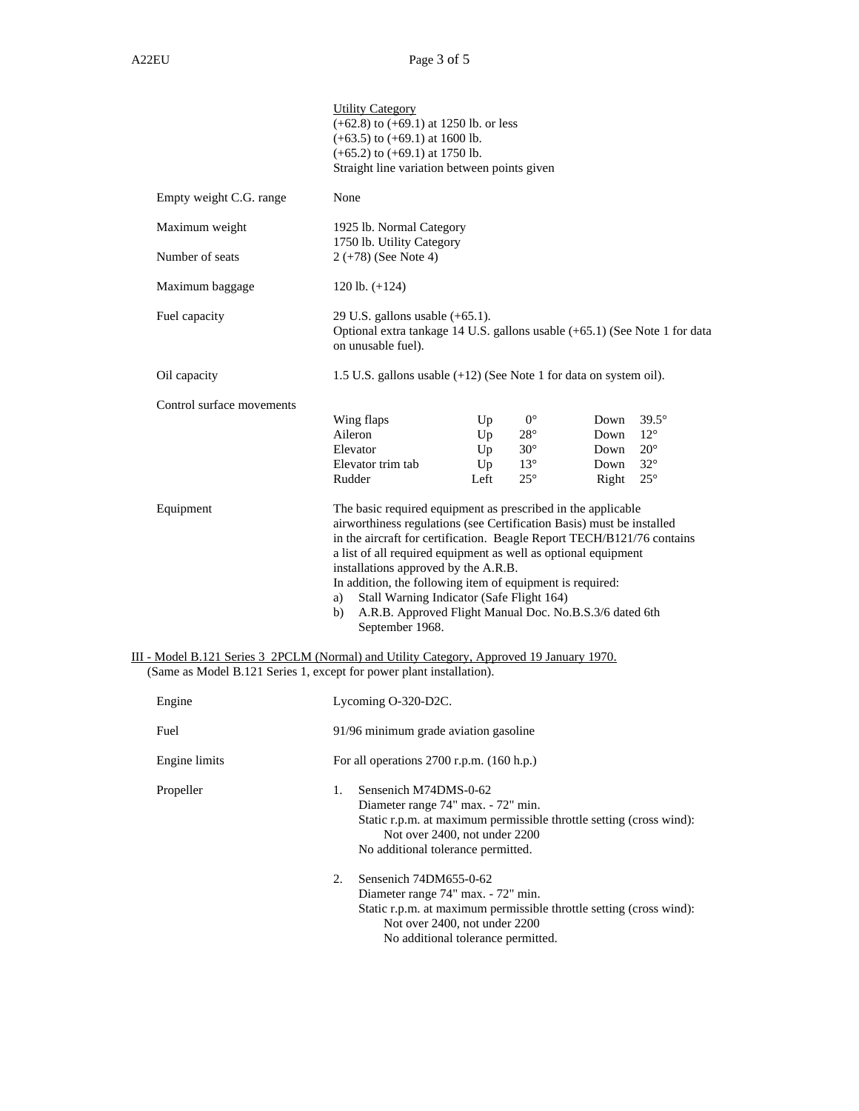|                           | <b>Utility Category</b><br>$(+62.8)$ to $(+69.1)$ at 1250 lb. or less<br>$(+63.5)$ to $(+69.1)$ at 1600 lb.<br>$(+65.2)$ to $(+69.1)$ at 1750 lb.<br>Straight line variation between points given                                                                                                                                                                                                                                                                                                                             |
|---------------------------|-------------------------------------------------------------------------------------------------------------------------------------------------------------------------------------------------------------------------------------------------------------------------------------------------------------------------------------------------------------------------------------------------------------------------------------------------------------------------------------------------------------------------------|
| Empty weight C.G. range   | None                                                                                                                                                                                                                                                                                                                                                                                                                                                                                                                          |
| Maximum weight            | 1925 lb. Normal Category<br>1750 lb. Utility Category                                                                                                                                                                                                                                                                                                                                                                                                                                                                         |
| Number of seats           | $2 (+78)$ (See Note 4)                                                                                                                                                                                                                                                                                                                                                                                                                                                                                                        |
| Maximum baggage           | 120 lb. $(+124)$                                                                                                                                                                                                                                                                                                                                                                                                                                                                                                              |
| Fuel capacity             | 29 U.S. gallons usable $(+65.1)$ .<br>Optional extra tankage 14 U.S. gallons usable (+65.1) (See Note 1 for data<br>on unusable fuel).                                                                                                                                                                                                                                                                                                                                                                                        |
| Oil capacity              | 1.5 U.S. gallons usable (+12) (See Note 1 for data on system oil).                                                                                                                                                                                                                                                                                                                                                                                                                                                            |
| Control surface movements | $0^{\circ}$<br>$39.5^\circ$<br>Wing flaps<br>Up<br>Down<br>Aileron<br>$28^{\circ}$<br>$12^{\circ}$<br>Up<br>Down<br>Elevator<br>$30^\circ$<br>$20^{\circ}$<br>Up<br>Down<br>$32^{\circ}$<br>$13^{\circ}$<br>Elevator trim tab<br>Up<br>Down<br>Rudder<br>Left<br>$25^{\circ}$<br>$25^{\circ}$<br>Right                                                                                                                                                                                                                        |
| Equipment                 | The basic required equipment as prescribed in the applicable<br>airworthiness regulations (see Certification Basis) must be installed<br>in the aircraft for certification. Beagle Report TECH/B121/76 contains<br>a list of all required equipment as well as optional equipment<br>installations approved by the A.R.B.<br>In addition, the following item of equipment is required:<br>Stall Warning Indicator (Safe Flight 164)<br>a)<br>A.R.B. Approved Flight Manual Doc. No.B.S.3/6 dated 6th<br>b)<br>September 1968. |
|                           | III - Model B.121 Series 3 2PCLM (Normal) and Utility Category, Approved 19 January 1970.<br>(Same as Model B.121 Series 1, except for power plant installation).                                                                                                                                                                                                                                                                                                                                                             |
| Engine                    | Lycoming O-320-D2C.                                                                                                                                                                                                                                                                                                                                                                                                                                                                                                           |
| Fuel                      | 91/96 minimum grade aviation gasoline                                                                                                                                                                                                                                                                                                                                                                                                                                                                                         |
| Engine limits             | For all operations 2700 r.p.m. (160 h.p.)                                                                                                                                                                                                                                                                                                                                                                                                                                                                                     |
|                           | 1.<br>Sensenich M74DMS-0-62                                                                                                                                                                                                                                                                                                                                                                                                                                                                                                   |
| Propeller                 | Diameter range 74" max. - 72" min.<br>Static r.p.m. at maximum permissible throttle setting (cross wind):<br>Not over 2400, not under 2200<br>No additional tolerance permitted.                                                                                                                                                                                                                                                                                                                                              |
|                           | Sensenich 74DM655-0-62<br>2.<br>Diameter range 74" max. - 72" min.<br>Static r.p.m. at maximum permissible throttle setting (cross wind):<br>Not over 2400, not under 2200<br>No additional tolerance permitted.                                                                                                                                                                                                                                                                                                              |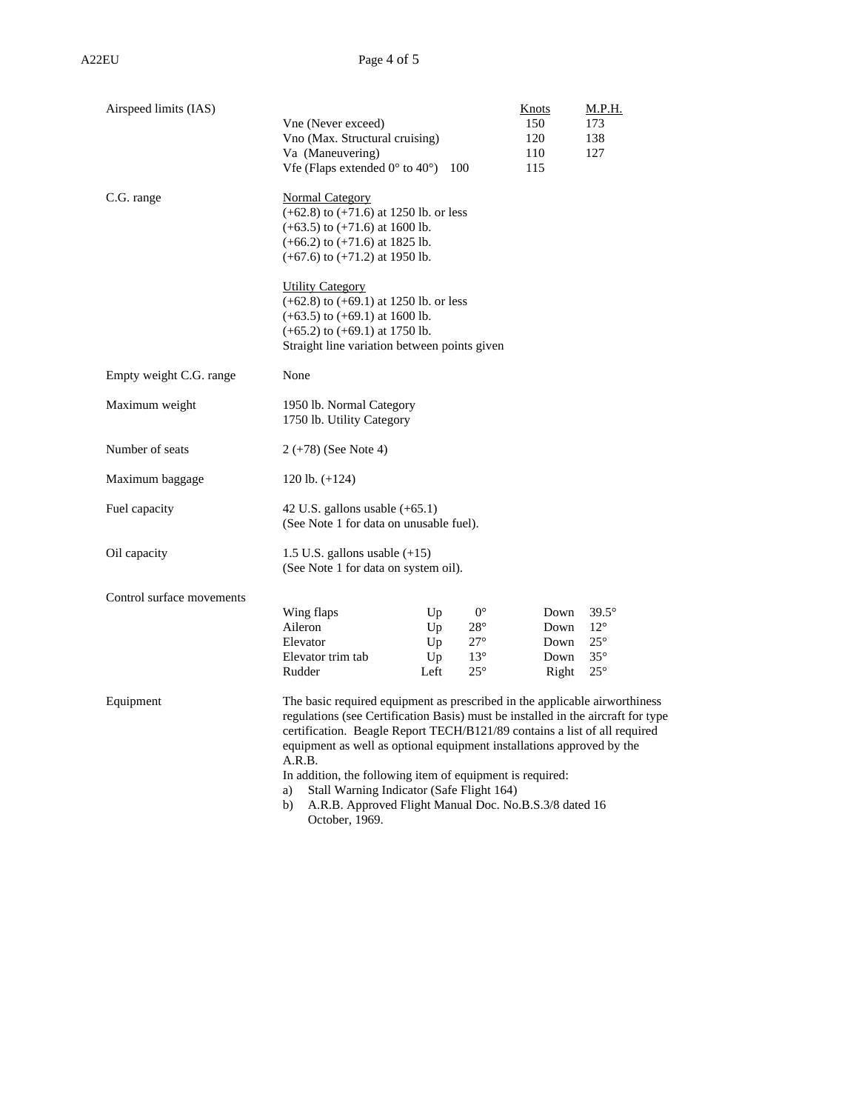| Airspeed limits (IAS)     |                                                                                    | Knots | M.P.H.       |
|---------------------------|------------------------------------------------------------------------------------|-------|--------------|
|                           | Vne (Never exceed)                                                                 | 150   | 173          |
|                           | Vno (Max. Structural cruising)                                                     | 120   | 138          |
|                           | Va (Maneuvering)                                                                   | 110   | 127          |
|                           | Vfe (Flaps extended $0^{\circ}$ to $40^{\circ}$ )<br>100                           | 115   |              |
| C.G. range                | Normal Category                                                                    |       |              |
|                           | $(+62.8)$ to $(+71.6)$ at 1250 lb. or less                                         |       |              |
|                           | $(+63.5)$ to $(+71.6)$ at 1600 lb.                                                 |       |              |
|                           | $(+66.2)$ to $(+71.6)$ at 1825 lb.                                                 |       |              |
|                           | $(+67.6)$ to $(+71.2)$ at 1950 lb.                                                 |       |              |
|                           | <b>Utility Category</b>                                                            |       |              |
|                           | $(+62.8)$ to $(+69.1)$ at 1250 lb. or less                                         |       |              |
|                           | $(+63.5)$ to $(+69.1)$ at 1600 lb.                                                 |       |              |
|                           | $(+65.2)$ to $(+69.1)$ at 1750 lb.<br>Straight line variation between points given |       |              |
| Empty weight C.G. range   | None                                                                               |       |              |
| Maximum weight            | 1950 lb. Normal Category                                                           |       |              |
|                           | 1750 lb. Utility Category                                                          |       |              |
|                           |                                                                                    |       |              |
| Number of seats           | $2 (+78)$ (See Note 4)                                                             |       |              |
| Maximum baggage           | 120 lb. $(+124)$                                                                   |       |              |
| Fuel capacity             | 42 U.S. gallons usable $(+65.1)$                                                   |       |              |
|                           | (See Note 1 for data on unusable fuel).                                            |       |              |
| Oil capacity              | 1.5 U.S. gallons usable $(+15)$                                                    |       |              |
|                           | (See Note 1 for data on system oil).                                               |       |              |
| Control surface movements |                                                                                    |       |              |
|                           | $0^{\circ}$<br>Wing flaps<br>Up                                                    | Down  | $39.5^\circ$ |
|                           | Aileron<br>$28^{\circ}$<br>Up                                                      | Down  | $12^{\circ}$ |
|                           | Elevator<br>$27^{\circ}$<br>Up                                                     | Down  | $25^{\circ}$ |
|                           | Elevator trim tab<br>Up<br>$13^{\circ}$                                            | Down  | $35^{\circ}$ |
|                           | Rudder<br>$25^{\circ}$<br>Left                                                     | Right | $25^{\circ}$ |
| Equipment                 | The basic required equipment as prescribed in the applicable airworthiness         |       |              |
|                           | regulations (see Certification Basis) must be installed in the aircraft for type   |       |              |
|                           | certification. Beagle Report TECH/B121/89 contains a list of all required          |       |              |
|                           | equipment as well as optional equipment installations approved by the<br>A.R.B.    |       |              |
|                           | In addition, the following item of equipment is required:                          |       |              |
|                           | Stall Warning Indicator (Safe Flight 164)<br>a)                                    |       |              |
|                           | b)<br>A.R.B. Approved Flight Manual Doc. No.B.S.3/8 dated 16                       |       |              |
|                           | October, 1969.                                                                     |       |              |